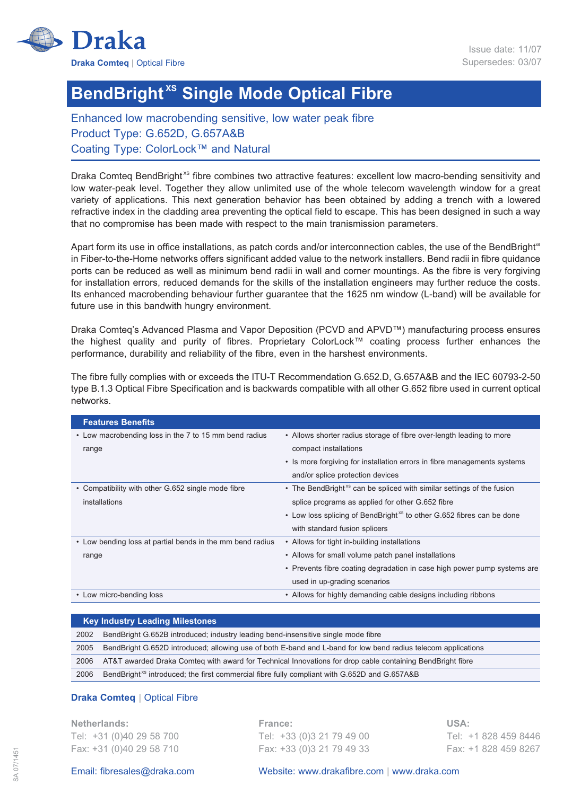

## **BendBright<sup>xs</sup> Single Mode Optical Fibre**

Enhanced low macrobending sensitive, low water peak fibre Product Type: G.652D, G.657A&B Coating Type: ColorLock™ and Natural

Draka Comteg BendBright<sup>xs</sup> fibre combines two attractive features: excellent low macro-bending sensitivity and low water-peak level. Together they allow unlimited use of the whole telecom wavelength window for a great variety of applications. This next generation behavior has been obtained by adding a trench with a lowered refractive index in the cladding area preventing the optical field to escape. This has been designed in such a way that no compromise has been made with respect to the main tranismission parameters.

Apart form its use in office installations, as patch cords and/or interconnection cables, the use of the BendBright<sup>xs</sup> in Fiber-to-the-Home networks offers significant added value to the network installers. Bend radii in fibre quidance ports can be reduced as well as minimum bend radii in wall and corner mountings. As the fibre is very forgiving for installation errors, reduced demands for the skills of the installation engineers may further reduce the costs. Its enhanced macrobending behaviour further guarantee that the 1625 nm window (L-band) will be available for future use in this bandwith hungry environment.

Draka Comteq's Advanced Plasma and Vapor Deposition (PCVD and APVD™) manufacturing process ensures the highest quality and purity of fibres. Proprietary ColorLock™ coating process further enhances the performance, durability and reliability of the fibre, even in the harshest environments.

The fibre fully complies with or exceeds the ITU-T Recommendation G.652.D, G.657A&B and the IEC 60793-2-50 type B.1.3 Optical Fibre Specification and is backwards compatible with all other G.652 fibre used in current optical networks.

| <b>Features Benefits</b>                                  |                                                                                   |
|-----------------------------------------------------------|-----------------------------------------------------------------------------------|
| • Low macrobending loss in the 7 to 15 mm bend radius     | • Allows shorter radius storage of fibre over-length leading to more              |
| range                                                     | compact installations                                                             |
|                                                           | • Is more forgiving for installation errors in fibre managements systems          |
|                                                           | and/or splice protection devices                                                  |
| • Compatibility with other G.652 single mode fibre        | • The BendBright <sup>xs</sup> can be spliced with similar settings of the fusion |
| installations                                             | splice programs as applied for other G.652 fibre                                  |
|                                                           | • Low loss splicing of BendBright <sup>xs</sup> to other G.652 fibres can be done |
|                                                           | with standard fusion splicers                                                     |
| • Low bending loss at partial bends in the mm bend radius | • Allows for tight in-building installations                                      |
| range                                                     | • Allows for small volume patch panel installations                               |
|                                                           | • Prevents fibre coating degradation in case high power pump systems are          |
|                                                           | used in up-grading scenarios                                                      |
| • Low micro-bending loss                                  | • Allows for highly demanding cable designs including ribbons                     |
|                                                           |                                                                                   |

|      | <b>Key Industry Leading Milestones</b>                                                                        |  |  |  |
|------|---------------------------------------------------------------------------------------------------------------|--|--|--|
| 2002 | BendBright G.652B introduced; industry leading bend-insensitive single mode fibre                             |  |  |  |
| 2005 | BendBright G.652D introduced; allowing use of both E-band and L-band for low bend radius telecom applications |  |  |  |
| 2006 | AT&T awarded Draka Comteq with award for Technical Innovations for drop cable containing BendBright fibre     |  |  |  |
| 2006 | BendBright <sup>xs</sup> introduced; the first commercial fibre fully compliant with G.652D and G.657A&B      |  |  |  |

## **Draka Comteq** | Optical Fibre

**Netherlands: France: USA:** Tel: +31 (0)40 29 58 700 Tel: +33 (0)3 21 79 49 00 Tel: +1 828 459 8446 Fax: +31 (0)40 29 58 710 Fax: +33 (0)3 21 79 49 33 Fax: +1 828 459 8267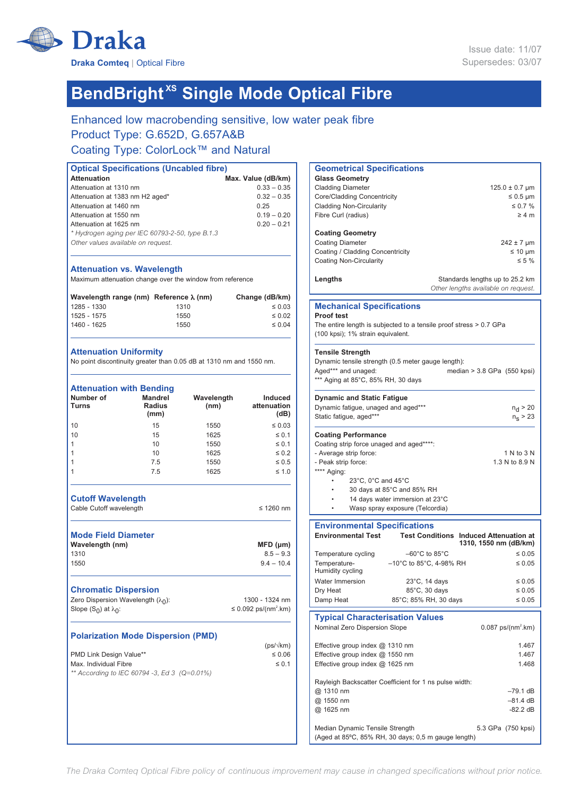

# **BendBright<sup>xs</sup> Single Mode Optical Fibre**

Enhanced low macrobending sensitive, low water peak fibre Product Type: G.652D, G.657A&B

## Coating Type: ColorLock™ and Natural

| <b>Optical Specifications (Uncabled fibre)</b>  |                    |  |  |
|-------------------------------------------------|--------------------|--|--|
| <b>Attenuation</b>                              | Max. Value (dB/km) |  |  |
| Attenuation at 1310 nm                          | $0.33 - 0.35$      |  |  |
| Attenuation at 1383 nm H2 aged*                 | $0.32 - 0.35$      |  |  |
| Attenuation at 1460 nm                          | 0.25               |  |  |
| Attenuation at 1550 nm                          | $0.19 - 0.20$      |  |  |
| Attenuation at 1625 nm                          | $0.20 - 0.21$      |  |  |
| * Hydrogen aging per IEC 60793-2-50, type B.1.3 |                    |  |  |
| Other values available on request.              |                    |  |  |
|                                                 |                    |  |  |

#### **Attenuation vs. Wavelength**

Maximum attenuation change over the window from reference

| Wavelength range (nm) Reference $\lambda$ (nm) |      | Change (dB/km) |
|------------------------------------------------|------|----------------|
| 1285 - 1330                                    | 1310 | $\leq 0.03$    |
| 1525 - 1575                                    | 1550 | $\leq 0.02$    |
| 1460 - 1625                                    | 1550 | $\leq 0.04$    |

#### **Attenuation Uniformity**

No point discontinuity greater than 0.05 dB at 1310 nm and 1550 nm.

|      | Induced<br>attenuation<br>(dB)                                                                                  |
|------|-----------------------------------------------------------------------------------------------------------------|
| 1550 | $\leq 0.03$                                                                                                     |
| 1625 | $\leq 0.1$                                                                                                      |
| 1550 | $\leq 0.1$                                                                                                      |
| 1625 | $\leq 0.2$                                                                                                      |
| 1550 | $\leq 0.5$                                                                                                      |
| 1625 | $\leq 1.0$                                                                                                      |
|      | $\leq$ 1260 nm                                                                                                  |
|      | $MFD$ ( $µm$ )<br>$8.5 - 9.3$<br>$9.4 - 10.4$                                                                   |
|      | 1300 - 1324 nm<br>≤ 0.092 ps/(nm <sup>2</sup> .km)                                                              |
|      | $(ps/\sqrt{km})$<br>$\leq 0.06$<br>$\leq 0.1$                                                                   |
|      | Wavelength<br>(nm)<br><b>Polarization Mode Dispersion (PMD)</b><br>** According to IEC 60794 -3, Ed 3 (Q=0.01%) |

| <b>Geometrical Specifications</b>                                  |                                                             |
|--------------------------------------------------------------------|-------------------------------------------------------------|
| <b>Glass Geometry</b>                                              |                                                             |
| <b>Cladding Diameter</b>                                           | $125.0 \pm 0.7 \,\mu m$                                     |
| Core/Cladding Concentricity                                        | $≤$ 0.5 µm                                                  |
| <b>Cladding Non-Circularity</b>                                    | $\leq 0.7 \%$                                               |
| Fibre Curl (radius)                                                | $\geq 4$ m                                                  |
|                                                                    |                                                             |
| <b>Coating Geometry</b>                                            |                                                             |
| <b>Coating Diameter</b>                                            | $242 \pm 7$ µm                                              |
| Coating / Cladding Concentricity                                   | $≤ 10 \mu m$                                                |
| <b>Coating Non-Circularity</b>                                     | $\leq 5\%$                                                  |
|                                                                    |                                                             |
| Lengths                                                            | Standards lengths up to 25.2 km                             |
|                                                                    | Other lengths available on request.                         |
|                                                                    |                                                             |
| <b>Mechanical Specifications</b>                                   |                                                             |
| <b>Proof test</b>                                                  |                                                             |
| The entire length is subjected to a tensile proof stress > 0.7 GPa |                                                             |
| (100 kpsi); 1% strain equivalent.                                  |                                                             |
|                                                                    |                                                             |
| <b>Tensile Strength</b>                                            |                                                             |
| Dynamic tensile strength (0.5 meter gauge length):                 |                                                             |
| Aged*** and unaged:                                                | median $>$ 3.8 GPa (550 kpsi)                               |
| *** Aging at 85°C, 85% RH, 30 days                                 |                                                             |
|                                                                    |                                                             |
| <b>Dynamic and Static Fatigue</b>                                  |                                                             |
| Dynamic fatigue, unaged and aged***                                | n <sub>d</sub> > 20                                         |
| Static fatigue, aged***                                            | $n_{\rm s}$ > 23                                            |
|                                                                    |                                                             |
| <b>Coating Performance</b>                                         |                                                             |
| Coating strip force unaged and aged****:                           |                                                             |
| - Average strip force:                                             | 1 N to 3 N                                                  |
| - Peak strip force:                                                | 1.3 N to 8.9 N                                              |
| **** Aging:                                                        |                                                             |
| 23°C, 0°C and 45°C                                                 |                                                             |
| 30 days at 85°C and 85% RH                                         |                                                             |
| 14 days water immersion at 23°C                                    |                                                             |
| Wasp spray exposure (Telcordia)                                    |                                                             |
|                                                                    |                                                             |
| <b>Environmental Specifications</b>                                |                                                             |
| <b>Environmental Test</b>                                          | <b>Test Conditions Induced Attenuation at</b>               |
|                                                                    | 1310, 1550 nm (dB/km)                                       |
| Temperature cycling                                                | $-60^{\circ}$ C to 85 $^{\circ}$ C<br>$\leq 0.05$           |
| Temperature-                                                       | $-10^{\circ}$ C to 85 $^{\circ}$ C, 4-98% RH<br>$\leq 0.05$ |
| Humidity cycling                                                   |                                                             |
| Water Immersion                                                    | 23°C, 14 days<br>$\leq 0.05$                                |
| Dry Heat                                                           | 85°C, 30 days<br>≤ 0.05                                     |
| Damp Heat                                                          | 85°C; 85% RH, 30 days<br>$\leq 0.05$                        |
|                                                                    |                                                             |
| <b>Typical Characterisation Values</b>                             |                                                             |
| Nominal Zero Dispersion Slope                                      | $0.087$ ps/(nm <sup>2</sup> .km)                            |
|                                                                    |                                                             |
| Effective group index @ 1310 nm                                    | 1.467                                                       |
| Effective group index @ 1550 nm                                    | 1.467                                                       |
| Effective group index @ 1625 nm                                    | 1.468                                                       |
|                                                                    |                                                             |
| Rayleigh Backscatter Coefficient for 1 ns pulse width:             |                                                             |
| @ 1310 nm                                                          | –79.1 dB                                                    |
| @ 1550 nm                                                          | –81.4 dB                                                    |
| @ 1625 nm                                                          | -82.2 dB                                                    |
|                                                                    |                                                             |
| Median Dynamic Tensile Strength                                    | 5.3 GPa (750 kpsi)                                          |
| (Aged at 85°C, 85% RH, 30 days; 0,5 m gauge length)                |                                                             |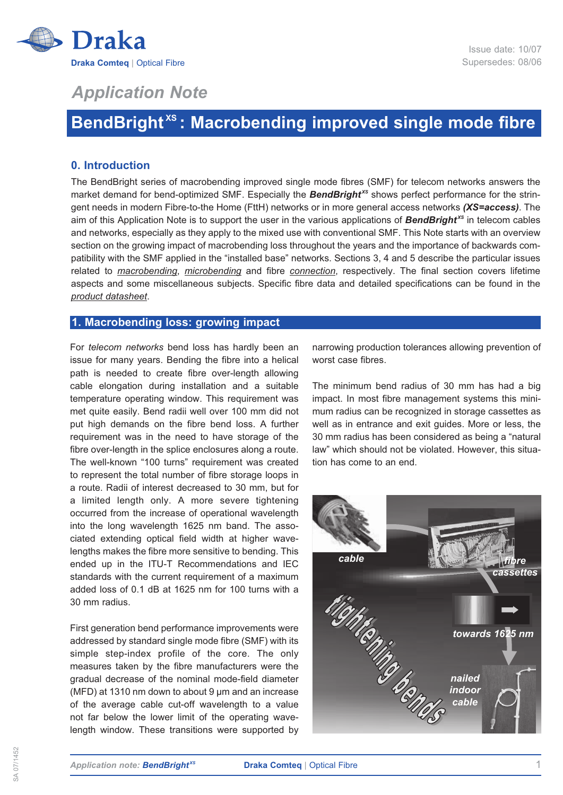

## *Application Note*

## **BendBright XS : Macrobending improved single mode fibre**

## **0. Introduction**

The BendBright series of macrobending improved single mode fibres (SMF) for telecom networks answers the market demand for bend-optimized SMF. Especially the **BendBright**<sup>xs</sup> shows perfect performance for the stringent needs in modern Fibre-to-the Home (FttH) networks or in more general access networks *(XS=access)*. The aim of this Application Note is to support the user in the various applications of **BendBright**<sup>xs</sup> in telecom cables and networks, especially as they apply to the mixed use with conventional SMF. This Note starts with an overview section on the growing impact of macrobending loss throughout the years and the importance of backwards compatibility with the SMF applied in the "installed base" networks. Sections 3, 4 and 5 describe the particular issues related to *macrobending*, *microbending* and fibre *connection*, respectively. The final section covers lifetime aspects and some miscellaneous subjects. Specific fibre data and detailed specifications can be found in the *product datasheet*.

## **1. Macrobending loss: growing impact**

For *telecom networks* bend loss has hardly been an issue for many years. Bending the fibre into a helical path is needed to create fibre over-length allowing cable elongation during installation and a suitable temperature operating window. This requirement was met quite easily. Bend radii well over 100 mm did not put high demands on the fibre bend loss. A further requirement was in the need to have storage of the fibre over-length in the splice enclosures along a route. The well-known "100 turns" requirement was created to represent the total number of fibre storage loops in a route. Radii of interest decreased to 30 mm, but for a limited length only. A more severe tightening occurred from the increase of operational wavelength into the long wavelength 1625 nm band. The associated extending optical field width at higher wavelengths makes the fibre more sensitive to bending. This ended up in the ITU-T Recommendations and IEC standards with the current requirement of a maximum added loss of 0.1 dB at 1625 nm for 100 turns with a 30 mm radius.

First generation bend performance improvements were addressed by standard single mode fibre (SMF) with its simple step-index profile of the core. The only measures taken by the fibre manufacturers were the gradual decrease of the nominal mode-field diameter (MFD) at 1310 nm down to about 9 µm and an increase of the average cable cut-off wavelength to a value not far below the lower limit of the operating wavelength window. These transitions were supported by narrowing production tolerances allowing prevention of worst case fibres.

The minimum bend radius of 30 mm has had a big impact. In most fibre management systems this minimum radius can be recognized in storage cassettes as well as in entrance and exit guides. More or less, the 30 mm radius has been considered as being a "natural law" which should not be violated. However, this situation has come to an end.

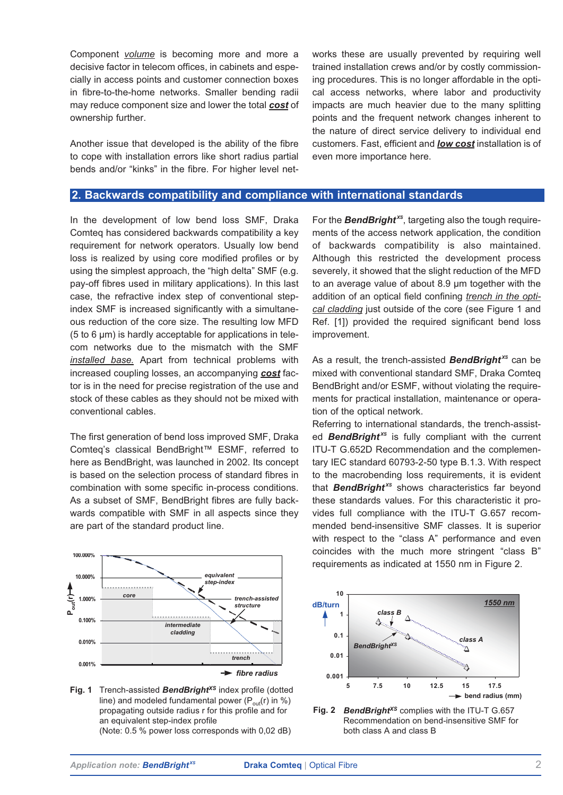Component *volume* is becoming more and more a decisive factor in telecom offices, in cabinets and especially in access points and customer connection boxes in fibre-to-the-home networks. Smaller bending radii may reduce component size and lower the total *cost* of ownership further.

Another issue that developed is the ability of the fibre to cope with installation errors like short radius partial bends and/or "kinks" in the fibre. For higher level networks these are usually prevented by requiring well trained installation crews and/or by costly commissioning procedures. This is no longer affordable in the optical access networks, where labor and productivity impacts are much heavier due to the many splitting points and the frequent network changes inherent to the nature of direct service delivery to individual end customers. Fast, efficient and *low cost* installation is of even more importance here.

## **2. Backwards compatibility and compliance with international standards**

In the development of low bend loss SMF, Draka Comteq has considered backwards compatibility a key requirement for network operators. Usually low bend loss is realized by using core modified profiles or by using the simplest approach, the "high delta" SMF (e.g. pay-off fibres used in military applications). In this last case, the refractive index step of conventional stepindex SMF is increased significantly with a simultaneous reduction of the core size. The resulting low MFD (5 to 6 µm) is hardly acceptable for applications in telecom networks due to the mismatch with the SMF *installed base.* Apart from technical problems with increased coupling losses, an accompanying *cost* factor is in the need for precise registration of the use and stock of these cables as they should not be mixed with conventional cables.

The first generation of bend loss improved SMF, Draka Comteq's classical BendBright™ ESMF, referred to here as BendBright, was launched in 2002. Its concept is based on the selection process of standard fibres in combination with some specific in-process conditions. As a subset of SMF, BendBright fibres are fully backwards compatible with SMF in all aspects since they are part of the standard product line.



Fig. 1 Trench-assisted **BendBright<sup>xs</sup>** index profile (dotted line) and modeled fundamental power  $(P_{out}(r)$  in %) propagating outside radius r for this profile and for an equivalent step-index profile (Note: 0.5 % power loss corresponds with 0,02 dB)

For the **BendBright**<sup>xs</sup>, targeting also the tough requirements of the access network application, the condition of backwards compatibility is also maintained. Although this restricted the development process severely, it showed that the slight reduction of the MFD to an average value of about 8.9 µm together with the addition of an optical field confining *trench in the optical cladding* just outside of the core (see Figure 1 and Ref. [1]) provided the required significant bend loss improvement.

As a result, the trench-assisted *BendBright XS* can be mixed with conventional standard SMF, Draka Comteq BendBright and/or ESMF, without violating the requirements for practical installation, maintenance or operation of the optical network.

Referring to international standards, the trench-assisted **BendBright**<sup>xs</sup> is fully compliant with the current ITU-T G.652D Recommendation and the complementary IEC standard 60793-2-50 type B.1.3. With respect to the macrobending loss requirements, it is evident that **BendBright**<sup>xs</sup> shows characteristics far beyond these standards values. For this characteristic it provides full compliance with the ITU-T G.657 recommended bend-insensitive SMF classes. It is superior with respect to the "class A" performance and even coincides with the much more stringent "class B" requirements as indicated at 1550 nm in Figure 2.



**Fig. 2** *BendBright<sup>xs</sup>* complies with the ITU-T G.657 Recommendation on bend-insensitive SMF for both class A and class B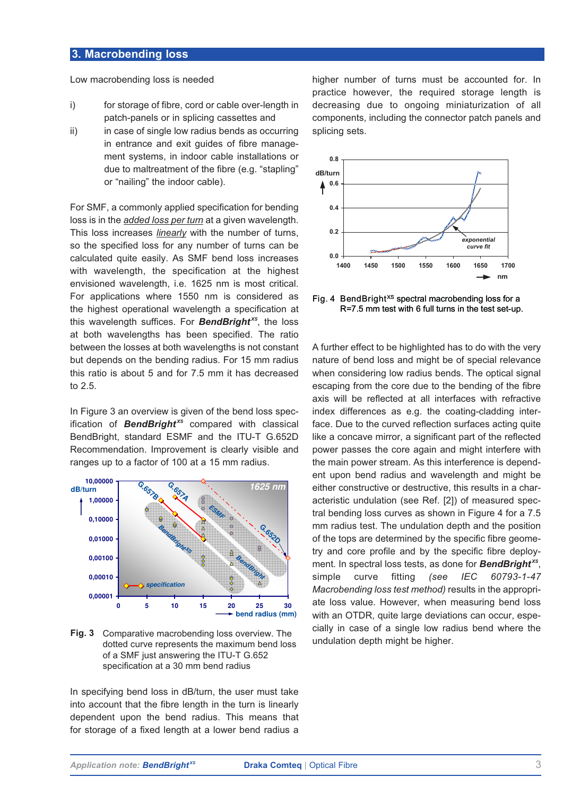## **3. Macrobending loss**

Low macrobending loss is needed

- i) for storage of fibre, cord or cable over-length in patch-panels or in splicing cassettes and
- ii) in case of single low radius bends as occurring in entrance and exit guides of fibre management systems, in indoor cable installations or due to maltreatment of the fibre (e.g. "stapling" or "nailing" the indoor cable).

For SMF, a commonly applied specification for bending loss is in the *added loss per turn* at a given wavelength. This loss increases *linearly* with the number of turns, so the specified loss for any number of turns can be calculated quite easily. As SMF bend loss increases with wavelength, the specification at the highest envisioned wavelength, i.e. 1625 nm is most critical. For applications where 1550 nm is considered as the highest operational wavelength a specification at this wavelength suffices. For *BendBright XS*, the loss at both wavelengths has been specified. The ratio between the losses at both wavelengths is not constant but depends on the bending radius. For 15 mm radius this ratio is about 5 and for 7.5 mm it has decreased to 2.5.

In Figure 3 an overview is given of the bend loss specification of **BendBright**<sup>xs</sup> compared with classical BendBright, standard ESMF and the ITU-T G.652D Recommendation. Improvement is clearly visible and ranges up to a factor of 100 at a 15 mm radius.



**Fig. 3** Comparative macrobending loss overview. The dotted curve represents the maximum bend loss of a SMF just answering the ITU-T G.652 specification at a 30 mm bend radius

In specifying bend loss in dB/turn, the user must take into account that the fibre length in the turn is linearly dependent upon the bend radius. This means that for storage of a fixed length at a lower bend radius a

higher number of turns must be accounted for. In practice however, the required storage length is decreasing due to ongoing miniaturization of all components, including the connector patch panels and splicing sets.



Fig. 4 BendBright<sup>xs</sup> spectral macrobending loss for a R=7.5 mm test with 6 full turns in the test set-up.

A further effect to be highlighted has to do with the very nature of bend loss and might be of special relevance when considering low radius bends. The optical signal escaping from the core due to the bending of the fibre axis will be reflected at all interfaces with refractive index differences as e.g. the coating-cladding interface. Due to the curved reflection surfaces acting quite like a concave mirror, a significant part of the reflected power passes the core again and might interfere with the main power stream. As this interference is dependent upon bend radius and wavelength and might be either constructive or destructive, this results in a characteristic undulation (see Ref. [2]) of measured spectral bending loss curves as shown in Figure 4 for a 7.5 mm radius test. The undulation depth and the position of the tops are determined by the specific fibre geometry and core profile and by the specific fibre deployment. In spectral loss tests, as done for *BendBright XS*, simple curve fitting *(see IEC 60793-1-47 Macrobending loss test method)* results in the appropriate loss value. However, when measuring bend loss with an OTDR, quite large deviations can occur, especially in case of a single low radius bend where the undulation depth might be higher.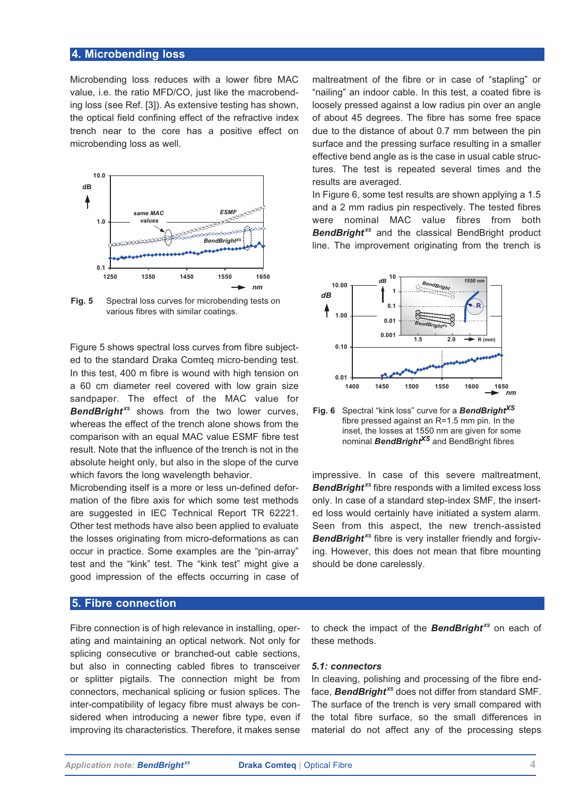## **4. Microbending loss**

Microbending loss reduces with a lower fibre MAC value, i.e. the ratio MFD/CO, just like the macrobending loss (see Ref. [3]). As extensive testing has shown, the optical field confining effect of the refractive index trench near to the core has a positive effect on microbending loss as well.



**Fig. 5** Spectral loss curves for microbending tests on various fibres with similar coatings.

Figure 5 shows spectral loss curves from fibre subjected to the standard Draka Comteq micro-bending test. In this test, 400 m fibre is wound with high tension on a 60 cm diameter reel covered with low grain size sandpaper. The effect of the MAC value for **BendBright**<sup>xs</sup> shows from the two lower curves, whereas the effect of the trench alone shows from the comparison with an equal MAC value ESMF fibre test result. Note that the influence of the trench is not in the absolute height only, but also in the slope of the curve which favors the long wavelength behavior.

Microbending itself is a more or less un-defined deformation of the fibre axis for which some test methods are suggested in IEC Technical Report TR 62221. Other test methods have also been applied to evaluate the losses originating from micro-deformations as can occur in practice. Some examples are the "pin-array" test and the "kink" test. The "kink test" might give a good impression of the effects occurring in case of

## **5. Fibre connection**

Fibre connection is of high relevance in installing, operating and maintaining an optical network. Not only for splicing consecutive or branched-out cable sections, but also in connecting cabled fibres to transceiver or splitter pigtails. The connection might be from connectors, mechanical splicing or fusion splices. The inter-compatibility of legacy fibre must always be considered when introducing a newer fibre type, even if improving its characteristics. Therefore, it makes sense

maltreatment of the fibre or in case of "stapling" or "nailing" an indoor cable. In this test, a coated fibre is loosely pressed against a low radius pin over an angle of about 45 degrees. The fibre has some free space due to the distance of about 0.7 mm between the pin surface and the pressing surface resulting in a smaller effective bend angle as is the case in usual cable structures. The test is repeated several times and the results are averaged.

In Figure 6, some test results are shown applying a 1.5 and a 2 mm radius pin respectively. The tested fibres were nominal MAC value fibres from both **BendBright**<sup>xs</sup> and the classical BendBright product line. The improvement originating from the trench is



**Fig. 6** Spectral "kink loss" curve for a *BendBrightXS* fibre pressed against an R=1.5 mm pin. In the inset, the losses at 1550 nm are given for some nominal *BendBrightXS* and BendBright fibres

impressive. In case of this severe maltreatment, *BendBright XS* fibre responds with a limited excess loss only. In case of a standard step-index SMF, the inserted loss would certainly have initiated a system alarm. Seen from this aspect, the new trench-assisted **BendBright**<sup>xs</sup> fibre is very installer friendly and forgiving. However, this does not mean that fibre mounting should be done carelessly.

to check the impact of the *BendBright XS* on each of these methods.

#### *5.1: connectors*

In cleaving, polishing and processing of the fibre endface, **BendBright**<sup>xs</sup> does not differ from standard SMF. The surface of the trench is very small compared with the total fibre surface, so the small differences in material do not affect any of the processing steps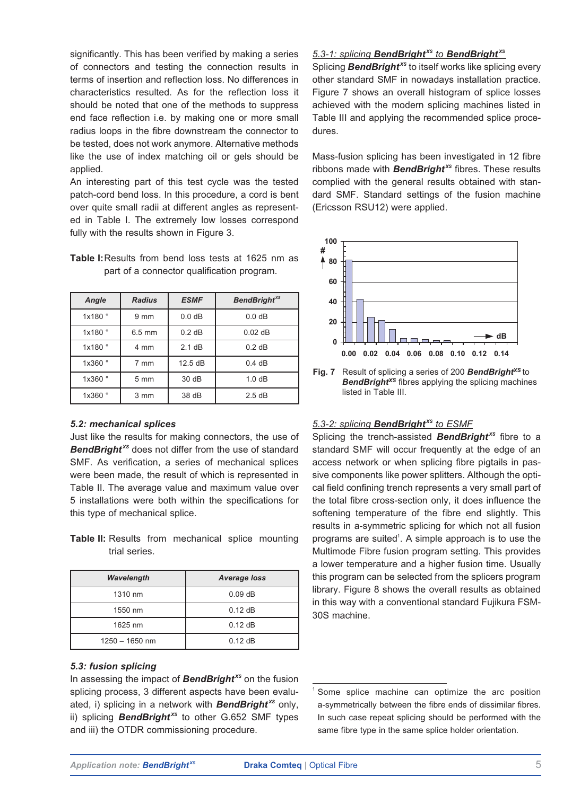significantly. This has been verified by making a series of connectors and testing the connection results in terms of insertion and reflection loss. No differences in characteristics resulted. As for the reflection loss it should be noted that one of the methods to suppress end face reflection i.e. by making one or more small radius loops in the fibre downstream the connector to be tested, does not work anymore. Alternative methods like the use of index matching oil or gels should be applied.

An interesting part of this test cycle was the tested patch-cord bend loss. In this procedure, a cord is bent over quite small radii at different angles as represented in Table I. The extremely low losses correspond fully with the results shown in Figure 3.

| <b>Table I:</b> Results from bend loss tests at 1625 nm as |  |  |  |  |
|------------------------------------------------------------|--|--|--|--|
| part of a connector qualification program.                 |  |  |  |  |

| Angle   | <b>Radius</b>    | <b>ESMF</b>       | <b>BendBright</b> <sup>xs</sup> |
|---------|------------------|-------------------|---------------------------------|
| 1x180°  | $9 \text{ mm}$   | 0.0 dB            | 0.0 dB                          |
| 1x180°  | $6.5 \text{ mm}$ | $0.2$ dB          | $0.02$ dB                       |
| 1x180°  | 4 mm             | 2.1 dB            | $0.2$ dB                        |
| 1x360 ° | 7 mm             | $12.5 \text{ dB}$ | 0.4 dB                          |
| 1x360 ° | $5 \text{ mm}$   | 30 dB             | 1.0dB                           |
| 1x360 ° | $3 \, \text{mm}$ | 38 dB             | 2.5dB                           |

#### *5.2: mechanical splices*

Just like the results for making connectors, the use of **BendBright**<sup>xs</sup> does not differ from the use of standard SMF. As verification, a series of mechanical splices were been made, the result of which is represented in Table II. The average value and maximum value over 5 installations were both within the specifications for this type of mechanical splice.

**Table II:** Results from mechanical splice mounting trial series.

| Wavelength       | <b>Average loss</b> |
|------------------|---------------------|
| 1310 nm          | $0.09$ dB           |
| 1550 nm          | $0.12$ dB           |
| 1625 nm          | $0.12$ dB           |
| $1250 - 1650$ nm | $0.12$ dB           |

#### *5.3: fusion splicing*

In assessing the impact of *BendBright XS* on the fusion splicing process, 3 different aspects have been evaluated, i) splicing in a network with *BendBright XS* only, ii) splicing **BendBright**<sup>xs</sup> to other G.652 SMF types and iii) the OTDR commissioning procedure.

## *5.3-1: splicing BendBright XS to BendBright XS*

Splicing **BendBright**<sup>xs</sup> to itself works like splicing every other standard SMF in nowadays installation practice. Figure 7 shows an overall histogram of splice losses achieved with the modern splicing machines listed in Table III and applying the recommended splice procedures.

Mass-fusion splicing has been investigated in 12 fibre ribbons made with **BendBright**<sup>xs</sup> fibres. These results complied with the general results obtained with standard SMF. Standard settings of the fusion machine (Ericsson RSU12) were applied.



**BendBright<sup>xs</sup>** fibres applying the splicing machines listed in Table III.

#### *5.3-2: splicing BendBright XS to ESMF*

Splicing the trench-assisted **BendBright**<sup>xs</sup> fibre to a standard SMF will occur frequently at the edge of an access network or when splicing fibre pigtails in passive components like power splitters. Although the optical field confining trench represents a very small part of the total fibre cross-section only, it does influence the softening temperature of the fibre end slightly. This results in a-symmetric splicing for which not all fusion programs are suited<sup>1</sup>. A simple approach is to use the Multimode Fibre fusion program setting. This provides a lower temperature and a higher fusion time. Usually this program can be selected from the splicers program library. Figure 8 shows the overall results as obtained in this way with a conventional standard Fujikura FSM-30S machine.

Some splice machine can optimize the arc position a-symmetrically between the fibre ends of dissimilar fibres. In such case repeat splicing should be performed with the same fibre type in the same splice holder orientation.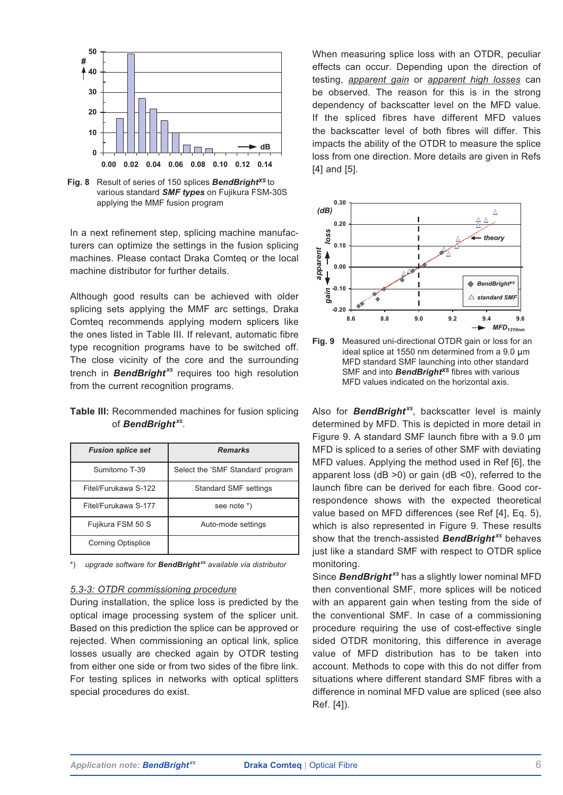

**Fig. 8** Result of series of 150 splices *BendBrightXS* to various standard *SMF types* on Fujikura FSM-30S applying the MMF fusion program

In a next refinement step, splicing machine manufacturers can optimize the settings in the fusion splicing machines. Please contact Draka Comteq or the local machine distributor for further details.

Although good results can be achieved with older splicing sets applying the MMF arc settings, Draka Comteq recommends applying modern splicers like the ones listed in Table III. If relevant, automatic fibre type recognition programs have to be switched off. The close vicinity of the core and the surrounding trench in **BendBright**<sup>xs</sup> requires too high resolution from the current recognition programs.

**Table III:** Recommended machines for fusion splicing of *BendBright XS*.

| <b>Fusion splice set</b>  | <b>Remarks</b>                    |
|---------------------------|-----------------------------------|
| Sumitomo T-39             | Select the 'SMF Standard' program |
| Fitel/Furukawa S-122      | <b>Standard SMF settings</b>      |
| Fitel/Furukawa S-177      | see note *)                       |
| Fujikura FSM 50 S         | Auto-mode settings                |
| <b>Corning Optisplice</b> |                                   |

\*) *upgrade software for BendBright XS available via distributor*

#### *5.3-3: OTDR commissioning procedure*

During installation, the splice loss is predicted by the optical image processing system of the splicer unit. Based on this prediction the splice can be approved or rejected. When commissioning an optical link, splice losses usually are checked again by OTDR testing from either one side or from two sides of the fibre link. For testing splices in networks with optical splitters special procedures do exist.

When measuring splice loss with an OTDR, peculiar effects can occur. Depending upon the direction of testing, *apparent gain* or *apparent high losses* can be observed. The reason for this is in the strong dependency of backscatter level on the MFD value. If the spliced fibres have different MFD values the backscatter level of both fibres will differ. This impacts the ability of the OTDR to measure the splice loss from one direction. More details are given in Refs [4] and [5].



**Fig. 9** Measured uni-directional OTDR gain or loss for an ideal splice at 1550 nm determined from a  $9.0 \mu m$ MFD standard SMF launching into other standard SMF and into **BendBright**<sup>xs</sup> fibres with various MFD values indicated on the horizontal axis.

Also for **BendBright**<sup>xs</sup>, backscatter level is mainly determined by MFD. This is depicted in more detail in Figure 9. A standard SMF launch fibre with a 9.0 µm MFD is spliced to a series of other SMF with deviating MFD values. Applying the method used in Ref [6], the apparent loss ( $dB > 0$ ) or gain ( $dB < 0$ ), referred to the launch fibre can be derived for each fibre. Good correspondence shows with the expected theoretical value based on MFD differences (see Ref [4], Eq. 5), which is also represented in Figure 9. These results show that the trench-assisted **BendBright**<sup>xs</sup> behaves just like a standard SMF with respect to OTDR splice monitoring.

Since **BendBright**<sup>xs</sup> has a slightly lower nominal MFD then conventional SMF, more splices will be noticed with an apparent gain when testing from the side of the conventional SMF. In case of a commissioning procedure requiring the use of cost-effective single sided OTDR monitoring, this difference in average value of MFD distribution has to be taken into account. Methods to cope with this do not differ from situations where different standard SMF fibres with a difference in nominal MFD value are spliced (see also Ref. [4]).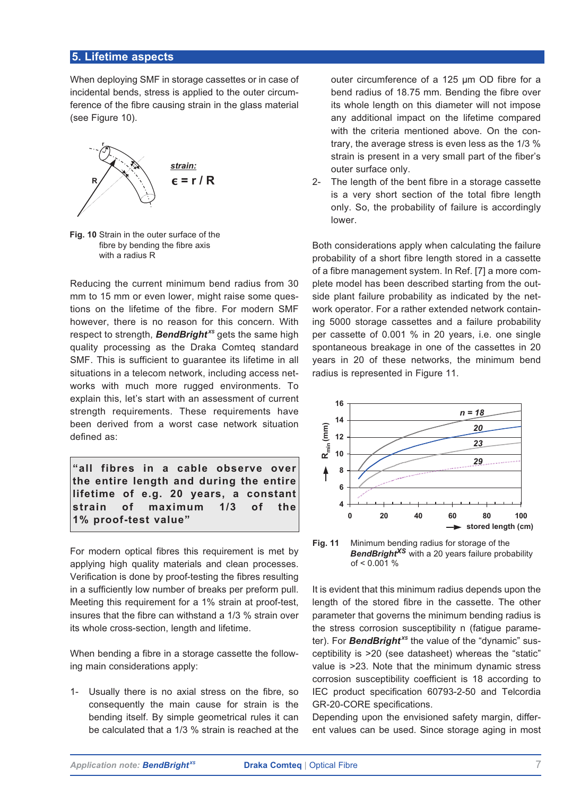## **5. Lifetime aspects**

When deploying SMF in storage cassettes or in case of incidental bends, stress is applied to the outer circumference of the fibre causing strain in the glass material (see Figure 10).



**Fig. 10** Strain in the outer surface of the fibre by bending the fibre axis with a radius R

Reducing the current minimum bend radius from 30 mm to 15 mm or even lower, might raise some questions on the lifetime of the fibre. For modern SMF however, there is no reason for this concern. With respect to strength, **BendBright**<sup>xs</sup> gets the same high quality processing as the Draka Comteq standard SMF. This is sufficient to guarantee its lifetime in all situations in a telecom network, including access networks with much more rugged environments. To explain this, let's start with an assessment of current strength requirements. These requirements have been derived from a worst case network situation defined as:

**"all fibres in a cable observe over the entire length and during the entire lifetime of e.g. 20 years, a constant strain of maximum 1/3 of the 1% proof-test value"**

For modern optical fibres this requirement is met by applying high quality materials and clean processes. Verification is done by proof-testing the fibres resulting in a sufficiently low number of breaks per preform pull. Meeting this requirement for a 1% strain at proof-test, insures that the fibre can withstand a 1/3 % strain over its whole cross-section, length and lifetime.

When bending a fibre in a storage cassette the following main considerations apply:

1- Usually there is no axial stress on the fibre, so consequently the main cause for strain is the bending itself. By simple geometrical rules it can be calculated that a 1/3 % strain is reached at the

outer circumference of a 125 µm OD fibre for a bend radius of 18.75 mm. Bending the fibre over its whole length on this diameter will not impose any additional impact on the lifetime compared with the criteria mentioned above. On the contrary, the average stress is even less as the 1/3 % strain is present in a very small part of the fiber's outer surface only.

2- The length of the bent fibre in a storage cassette is a very short section of the total fibre length only. So, the probability of failure is accordingly lower.

Both considerations apply when calculating the failure probability of a short fibre length stored in a cassette of a fibre management system. In Ref. [7] a more complete model has been described starting from the outside plant failure probability as indicated by the network operator. For a rather extended network containing 5000 storage cassettes and a failure probability per cassette of 0.001 % in 20 years, i.e. one single spontaneous breakage in one of the cassettes in 20 years in 20 of these networks, the minimum bend radius is represented in Figure 11.



**Fig. 11** Minimum bending radius for storage of the *BendBrightXS* with a 20 years failure probability of < 0.001 %

It is evident that this minimum radius depends upon the length of the stored fibre in the cassette. The other parameter that governs the minimum bending radius is the stress corrosion susceptibility n (fatigue parameter). For **BendBright**<sup>xs</sup> the value of the "dynamic" susceptibility is >20 (see datasheet) whereas the "static" value is >23. Note that the minimum dynamic stress corrosion susceptibility coefficient is 18 according to IEC product specification 60793-2-50 and Telcordia GR-20-CORE specifications.

Depending upon the envisioned safety margin, different values can be used. Since storage aging in most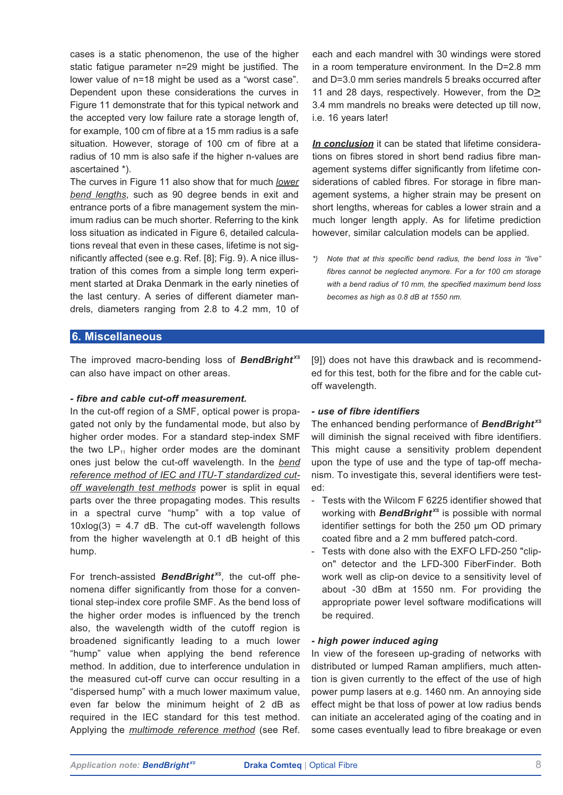cases is a static phenomenon, the use of the higher static fatigue parameter n=29 might be justified. The lower value of n=18 might be used as a "worst case". Dependent upon these considerations the curves in Figure 11 demonstrate that for this typical network and the accepted very low failure rate a storage length of, for example, 100 cm of fibre at a 15 mm radius is a safe situation. However, storage of 100 cm of fibre at a radius of 10 mm is also safe if the higher n-values are ascertained \*).

The curves in Figure 11 also show that for much *lower bend lengths*, such as 90 degree bends in exit and entrance ports of a fibre management system the minimum radius can be much shorter. Referring to the kink loss situation as indicated in Figure 6, detailed calculations reveal that even in these cases, lifetime is not significantly affected (see e.g. Ref. [8]; Fig. 9). A nice illustration of this comes from a simple long term experiment started at Draka Denmark in the early nineties of the last century. A series of different diameter mandrels, diameters ranging from 2.8 to 4.2 mm, 10 of each and each mandrel with 30 windings were stored in a room temperature environment. In the D=2.8 mm and D=3.0 mm series mandrels 5 breaks occurred after 11 and 28 days, respectively. However, from the D>*\_* 3.4 mm mandrels no breaks were detected up till now, i.e. 16 years later!

*In conclusion* it can be stated that lifetime considerations on fibres stored in short bend radius fibre management systems differ significantly from lifetime considerations of cabled fibres. For storage in fibre management systems, a higher strain may be present on short lengths, whereas for cables a lower strain and a much longer length apply. As for lifetime prediction however, similar calculation models can be applied.

*\*) Note that at this specific bend radius, the bend loss in "live" fibres cannot be neglected anymore. For a for 100 cm storage with a bend radius of 10 mm, the specified maximum bend loss becomes as high as 0.8 dB at 1550 nm.*

### **6. Miscellaneous**

The improved macro-bending loss of *BendBright XS* can also have impact on other areas.

#### *- fibre and cable cut-off measurement.*

In the cut-off region of a SMF, optical power is propagated not only by the fundamental mode, but also by higher order modes. For a standard step-index SMF the two  $LP_{11}$  higher order modes are the dominant ones just below the cut-off wavelength. In the *bend reference method of IEC and ITU-T standardized cutoff wavelength test methods* power is split in equal parts over the three propagating modes. This results in a spectral curve "hump" with a top value of  $10xlog(3) = 4.7$  dB. The cut-off wavelength follows from the higher wavelength at 0.1 dB height of this hump.

For trench-assisted *BendBright XS*, the cut-off phenomena differ significantly from those for a conventional step-index core profile SMF. As the bend loss of the higher order modes is influenced by the trench also, the wavelength width of the cutoff region is broadened significantly leading to a much lower "hump" value when applying the bend reference method. In addition, due to interference undulation in the measured cut-off curve can occur resulting in a "dispersed hump" with a much lower maximum value, even far below the minimum height of 2 dB as required in the IEC standard for this test method. Applying the *multimode reference method* (see Ref.

[9]) does not have this drawback and is recommended for this test, both for the fibre and for the cable cutoff wavelength.

#### *- use of fibre identifiers*

The enhanced bending performance of *BendBright XS* will diminish the signal received with fibre identifiers. This might cause a sensitivity problem dependent upon the type of use and the type of tap-off mechanism. To investigate this, several identifiers were tested:

- Tests with the Wilcom F 6225 identifier showed that working with **BendBright**<sup>xs</sup> is possible with normal identifier settings for both the 250 µm OD primary coated fibre and a 2 mm buffered patch-cord.
- Tests with done also with the EXFO LFD-250 "clipon" detector and the LFD-300 FiberFinder. Both work well as clip-on device to a sensitivity level of about -30 dBm at 1550 nm. For providing the appropriate power level software modifications will be required.

#### *- high power induced aging*

In view of the foreseen up-grading of networks with distributed or lumped Raman amplifiers, much attention is given currently to the effect of the use of high power pump lasers at e.g. 1460 nm. An annoying side effect might be that loss of power at low radius bends can initiate an accelerated aging of the coating and in some cases eventually lead to fibre breakage or even